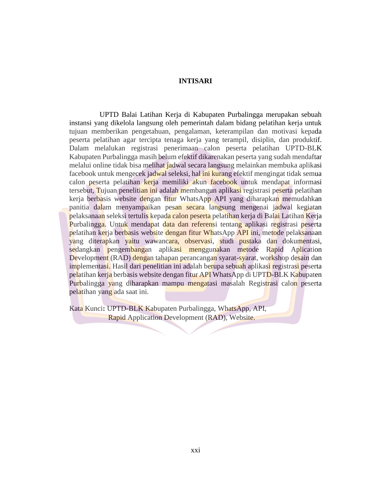## **INTISARI**

UPTD Balai Latihan Kerja di Kabupaten Purbalingga merupakan sebuah instansi yang dikelola langsung oleh pemerintah dalam bidang pelatihan kerja untuk tujuan memberikan pengetahuan, pengalaman, keterampilan dan motivasi kepada peserta pelatihan agar tercipta tenaga kerja yang terampil, disiplin, dan produktif. Dalam melalukan registrasi penerimaan calon peserta pelatihan UPTD-BLK Kabupaten Purbalingga masih belum efektif dikarenakan peserta yang sudah mendaftar melalui online tidak bisa melihat jadwal secara langsung melainkan membuka aplikasi facebook untuk mengecek jadwal seleksi, hal ini kurang efektif mengingat tidak semua calon peserta pelatihan kerja memiliki akun facebook untuk mendapat informasi tersebut, Tujuan penelitian ini adalah membangun aplikasi registrasi peserta pelatihan kerja berbasis website dengan fitur WhatsApp API yang diharapkan memudahkan panitia dalam menyampaikan pesan secara langsung mengenai jadwal kegiatan pelaksanaan seleksi tertulis kepada calon peserta pelatihan kerja di Balai Latihan Kerja Purbalingga. Untuk mendapat data dan referensi tentang aplikasi registrasi peserta pelatihan kerja berbasis website dengan fitur WhatsApp API ini, metode pelaksanaan yang diterapkan yaitu wawancara, observasi, studi pustaka dan dokumentasi, sedangkan pengembangan aplikasi menggunakan metode Rapid Aplication Development (RAD) dengan tahapan perancangan syarat-syarat, workshop desain dan implementasi. Hasil dari penelitian ini adalah berupa sebuah aplikasi registrasi peserta pelatihan kerja berbasis website dengan fitur API WhatsApp di UPTD-BLK Kabupaten Purbalingga yang diharapkan mampu mengatasi masalah Registrasi calon peserta pelatihan yang ada saat ini.

Kata Kunci**:** UPTD-BLK Kabupaten Purbalingga, WhatsApp, API, Rapid Application Development (RAD), Website.